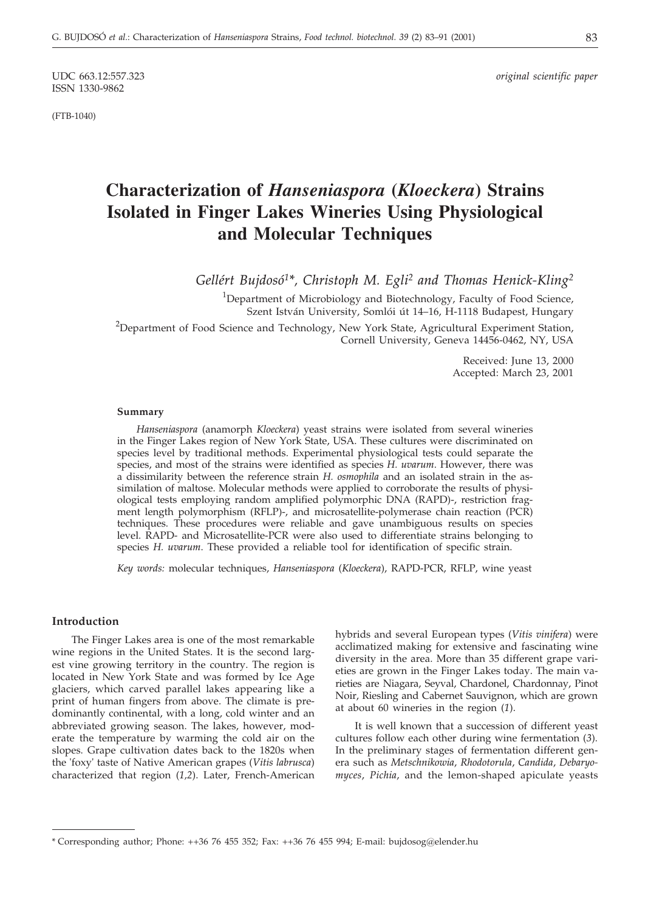ISSN 1330-9862

(FTB-1040)

# **Characterization of** *Hanseniaspora* **(***Kloeckera***) Strains Isolated in Finger Lakes Wineries Using Physiological and Molecular Techniques**

*Gellért Bujdosó1\*, Christoph M. Egli2 and Thomas Henick-Kling2*

 $1$ Department of Microbiology and Biotechnology, Faculty of Food Science, Szent István University, Somlói út 14–16, H-1118 Budapest, Hungary

<sup>2</sup>Department of Food Science and Technology, New York State, Agricultural Experiment Station, Cornell University, Geneva 14456-0462, NY, USA

> Received: June 13, 2000 Accepted: March 23, 2001

#### **Summary**

*Hanseniaspora* (anamorph *Kloeckera*) yeast strains were isolated from several wineries in the Finger Lakes region of New York State, USA. These cultures were discriminated on species level by traditional methods. Experimental physiological tests could separate the species, and most of the strains were identified as species *H. uvarum*. However, there was a dissimilarity between the reference strain *H. osmophila* and an isolated strain in the assimilation of maltose. Molecular methods were applied to corroborate the results of physiological tests employing random amplified polymorphic DNA (RAPD)-, restriction fragment length polymorphism (RFLP)-, and microsatellite-polymerase chain reaction (PCR) techniques. These procedures were reliable and gave unambiguous results on species level. RAPD- and Microsatellite-PCR were also used to differentiate strains belonging to species *H. uvarum*. These provided a reliable tool for identification of specific strain.

*Key words:* molecular techniques, *Hanseniaspora* (*Kloeckera*), RAPD-PCR, RFLP, wine yeast

#### **Introduction**

The Finger Lakes area is one of the most remarkable wine regions in the United States. It is the second largest vine growing territory in the country. The region is located in New York State and was formed by Ice Age glaciers, which carved parallel lakes appearing like a print of human fingers from above. The climate is predominantly continental, with a long, cold winter and an abbreviated growing season. The lakes, however, moderate the temperature by warming the cold air on the slopes. Grape cultivation dates back to the 1820s when the 'foxy' taste of Native American grapes (*Vitis labrusca*) characterized that region (*1,2*). Later, French-American

hybrids and several European types (*Vitis vinifera*) were acclimatized making for extensive and fascinating wine diversity in the area. More than 35 different grape varieties are grown in the Finger Lakes today. The main varieties are Niagara, Seyval, Chardonel, Chardonnay, Pinot Noir, Riesling and Cabernet Sauvignon, which are grown at about 60 wineries in the region (*1*).

It is well known that a succession of different yeast cultures follow each other during wine fermentation (*3*). In the preliminary stages of fermentation different genera such as *Metschnikowia*, *Rhodotorula*, *Candida*, *Debaryomyces*, *Pichia*, and the lemon-shaped apiculate yeasts

<sup>\*</sup> Corresponding author; Phone: ++36 76 455 352; Fax: ++36 76 455 994; E-mail: bujdosog*@*elender.hu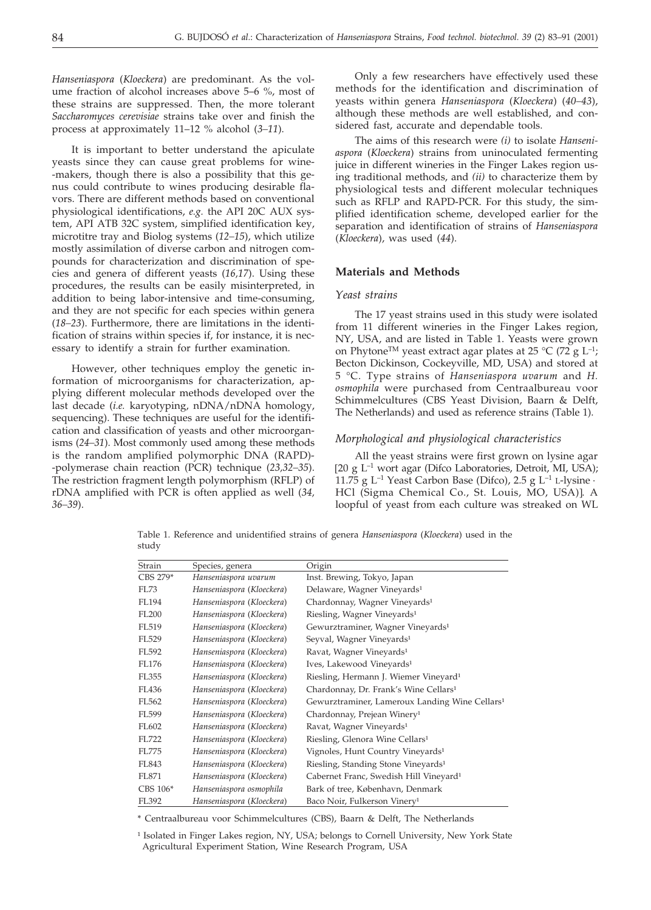*Hanseniaspora* (*Kloeckera*) are predominant. As the volume fraction of alcohol increases above 5–6 %, most of these strains are suppressed. Then, the more tolerant *Saccharomyces cerevisiae* strains take over and finish the process at approximately 11–12 % alcohol (*3–11*).

It is important to better understand the apiculate yeasts since they can cause great problems for wine- -makers, though there is also a possibility that this genus could contribute to wines producing desirable flavors. There are different methods based on conventional physiological identifications, *e.g.* the API 20C AUX system, API ATB 32C system, simplified identification key, microtitre tray and Biolog systems (*12–15*), which utilize mostly assimilation of diverse carbon and nitrogen compounds for characterization and discrimination of species and genera of different yeasts (*16,17*). Using these procedures, the results can be easily misinterpreted, in addition to being labor-intensive and time-consuming, and they are not specific for each species within genera (*18–23*). Furthermore, there are limitations in the identification of strains within species if, for instance, it is necessary to identify a strain for further examination.

However, other techniques employ the genetic information of microorganisms for characterization, applying different molecular methods developed over the last decade (*i.e.* karyotyping, nDNA/nDNA homology, sequencing). These techniques are useful for the identification and classification of yeasts and other microorganisms (*24–31*). Most commonly used among these methods is the random amplified polymorphic DNA (RAPD)- -polymerase chain reaction (PCR) technique (*23,32–35*). The restriction fragment length polymorphism (RFLP) of rDNA amplified with PCR is often applied as well (*34, 36–39*).

Only a few researchers have effectively used these methods for the identification and discrimination of yeasts within genera *Hanseniaspora* (*Kloeckera*) (*40–43*), although these methods are well established, and considered fast, accurate and dependable tools.

The aims of this research were *(i)* to isolate *Hanseniaspora* (*Kloeckera*) strains from uninoculated fermenting juice in different wineries in the Finger Lakes region using traditional methods, and *(ii)* to characterize them by physiological tests and different molecular techniques such as RFLP and RAPD-PCR. For this study, the simplified identification scheme, developed earlier for the separation and identification of strains of *Hanseniaspora* (*Kloeckera*), was used (*44*).

## **Materials and Methods**

### *Yeast strains*

The 17 yeast strains used in this study were isolated from 11 different wineries in the Finger Lakes region, NY, USA, and are listed in Table 1. Yeasts were grown on Phytone<sup>TM</sup> yeast extract agar plates at 25 °C (72 g L<sup>-1</sup>; Becton Dickinson, Cockeyville, MD, USA) and stored at 5 °C. Type strains of *Hanseniaspora uvarum* and *H. osmophila* were purchased from Centraalbureau voor Schimmelcultures (CBS Yeast Division, Baarn & Delft, The Netherlands) and used as reference strains (Table 1).

### *Morphological and physiological characteristics*

All the yeast strains were first grown on lysine agar 20 g L–1 wort agar (Difco Laboratories, Detroit, MI, USA); 11.75 g  $L^{-1}$  Yeast Carbon Base (Difco), 2.5 g  $L^{-1}$  L-lysine  $\cdot$ HCl (Sigma Chemical Co., St. Louis, MO, USA)]. A loopful of yeast from each culture was streaked on WL

Table 1. Reference and unidentified strains of genera *Hanseniaspora* (*Kloeckera*) used in the study

| Species, genera           | Origin                                                     |
|---------------------------|------------------------------------------------------------|
| Hanseniaspora uvarum      | Inst. Brewing, Tokyo, Japan                                |
| Hanseniaspora (Kloeckera) | Delaware, Wagner Vineyards <sup>1</sup>                    |
| Hanseniaspora (Kloeckera) | Chardonnay, Wagner Vineyards <sup>1</sup>                  |
| Hanseniaspora (Kloeckera) | Riesling, Wagner Vineyards <sup>1</sup>                    |
| Hanseniaspora (Kloeckera) | Gewurztraminer, Wagner Vineyards <sup>1</sup>              |
| Hanseniaspora (Kloeckera) | Seyval, Wagner Vineyards <sup>1</sup>                      |
| Hanseniaspora (Kloeckera) | Ravat, Wagner Vineyards <sup>1</sup>                       |
| Hanseniaspora (Kloeckera) | Ives, Lakewood Vineyards <sup>1</sup>                      |
| Hanseniaspora (Kloeckera) | Riesling, Hermann J. Wiemer Vineyard <sup>1</sup>          |
| Hanseniaspora (Kloeckera) | Chardonnay, Dr. Frank's Wine Cellars <sup>1</sup>          |
| Hanseniaspora (Kloeckera) | Gewurztraminer, Lameroux Landing Wine Cellars <sup>1</sup> |
| Hanseniaspora (Kloeckera) | Chardonnay, Prejean Winery <sup>1</sup>                    |
| Hanseniaspora (Kloeckera) | Ravat, Wagner Vineyards <sup>1</sup>                       |
| Hanseniaspora (Kloeckera) | Riesling, Glenora Wine Cellars <sup>1</sup>                |
| Hanseniaspora (Kloeckera) | Vignoles, Hunt Country Vineyards <sup>1</sup>              |
| Hanseniaspora (Kloeckera) | Riesling, Standing Stone Vineyards <sup>1</sup>            |
| Hanseniaspora (Kloeckera) | Cabernet Franc, Swedish Hill Vineyard <sup>1</sup>         |
| Hanseniaspora osmophila   | Bark of tree, København, Denmark                           |
| Hanseniaspora (Kloeckera) | Baco Noir, Fulkerson Vinery <sup>1</sup>                   |
|                           |                                                            |

\* Centraalbureau voor Schimmelcultures (CBS), Baarn & Delft, The Netherlands

<sup>1</sup> Isolated in Finger Lakes region, NY, USA; belongs to Cornell University, New York State Agricultural Experiment Station, Wine Research Program, USA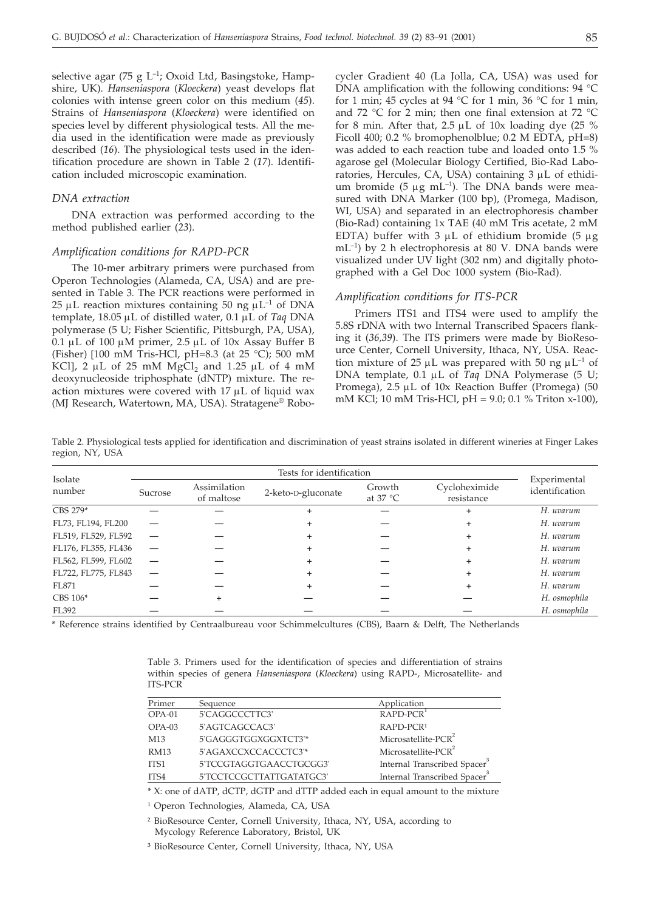selective agar (75 g  $L^{-1}$ ; Oxoid Ltd, Basingstoke, Hampshire, UK). *Hanseniaspora* (*Kloeckera*) yeast develops flat colonies with intense green color on this medium (*45*). Strains of *Hanseniaspora* (*Kloeckera*) were identified on species level by different physiological tests. All the media used in the identification were made as previously described (*16*). The physiological tests used in the identification procedure are shown in Table 2 (*17*). Identification included microscopic examination.

#### *DNA extraction*

DNA extraction was performed according to the method published earlier (*23*).

## *Amplification conditions for RAPD-PCR*

The 10-mer arbitrary primers were purchased from Operon Technologies (Alameda, CA, USA) and are presented in Table 3*.* The PCR reactions were performed in 25  $\mu$ L reaction mixtures containing 50 ng  $\mu$ L<sup>-1</sup> of DNA template, 18.05 µL of distilled water, 0.1 µL of *Taq* DNA polymerase (5 U; Fisher Scientific, Pittsburgh, PA, USA), 0.1  $\mu$ L of 100  $\mu$ M primer, 2.5  $\mu$ L of 10x Assay Buffer B (Fisher) 100 mM Tris-HCl, pH=8.3 (at 25 °C); 500 mM KCl], 2  $\mu$ L of 25 mM MgCl<sub>2</sub> and 1.25  $\mu$ L of 4 mM deoxynucleoside triphosphate (dNTP) mixture. The reaction mixtures were covered with  $17 \mu L$  of liquid wax (MJ Research, Watertown, MA, USA). Stratagene® Robocycler Gradient 40 (La Jolla, CA, USA) was used for DNA amplification with the following conditions: 94 °C for 1 min; 45 cycles at 94 °C for 1 min, 36 °C for 1 min, and 72 °C for 2 min; then one final extension at 72 °C for 8 min. After that,  $2.5 \mu L$  of  $10x$  loading dye (25 % Ficoll 400; 0.2 % bromophenolblue; 0.2 M EDTA, pH=8) was added to each reaction tube and loaded onto 1.5 % agarose gel (Molecular Biology Certified, Bio-Rad Laboratories, Hercules, CA, USA) containing  $3 \mu L$  of ethidium bromide (5  $\mu$ g mL<sup>-1</sup>). The DNA bands were measured with DNA Marker (100 bp), (Promega, Madison, WI, USA) and separated in an electrophoresis chamber (Bio-Rad) containing 1x TAE (40 mM Tris acetate, 2 mM EDTA) buffer with  $3 \mu L$  of ethidium bromide (5  $\mu$ g  $mL^{-1}$ ) by 2 h electrophoresis at 80 V. DNA bands were visualized under UV light (302 nm) and digitally photographed with a Gel Doc 1000 system (Bio-Rad).

## *Amplification conditions for ITS-PCR*

Primers ITS1 and ITS4 were used to amplify the 5.8S rDNA with two Internal Transcribed Spacers flanking it (*36,39*). The ITS primers were made by BioResource Center, Cornell University, Ithaca, NY, USA. Reaction mixture of 25  $\mu$ L was prepared with 50 ng  $\mu$ L<sup>-1</sup> of DNA template, 0.1 µL of *Taq* DNA Polymerase (5 U; Promega), 2.5 µL of 10x Reaction Buffer (Promega) (50 mM KCl; 10 mM Tris-HCl, pH = 9.0; 0.1 % Triton x-100),

Table 2. Physiological tests applied for identification and discrimination of yeast strains isolated in different wineries at Finger Lakes region, NY, USA

|                     | Tests for identification |                            |                    |                             |                             |                                |
|---------------------|--------------------------|----------------------------|--------------------|-----------------------------|-----------------------------|--------------------------------|
| Isolate<br>number   | Sucrose                  | Assimilation<br>of maltose | 2-keto-D-gluconate | Growth<br>at $37^{\circ}$ C | Cycloheximide<br>resistance | Experimental<br>identification |
| CBS 279*            |                          |                            |                    |                             |                             | H. uvarum                      |
| FL73, FL194, FL200  |                          |                            |                    |                             |                             | H. uvarum                      |
| FL519, FL529, FL592 |                          |                            |                    |                             |                             | H. uvarum                      |
| FL176, FL355, FL436 |                          |                            |                    |                             |                             | H. uvarum                      |
| FL562, FL599, FL602 |                          |                            | +                  |                             |                             | H. uvarum                      |
| FL722, FL775, FL843 |                          |                            | +                  |                             | ٠                           | H. uvarum                      |
| FL871               |                          |                            |                    |                             | ٠                           | H. uvarum                      |
| CBS 106*            |                          |                            |                    |                             |                             | H. osmophila                   |
| FL392               |                          |                            |                    |                             |                             | H. osmophila                   |

\* Reference strains identified by Centraalbureau voor Schimmelcultures (CBS), Baarn & Delft, The Netherlands

Table 3. Primers used for the identification of species and differentiation of strains within species of genera *Hanseniaspora* (*Kloeckera*) using RAPD-, Microsatellite- and ITS-PCR

| Primer      | Sequence                 | Application                              |
|-------------|--------------------------|------------------------------------------|
| OPA-01      | 5'CAGGCCCTTC3'           | RAPD-PCR                                 |
| $OPA-03$    | 5'AGTCAGCCAC3'           | RAPD-PCR1                                |
| M13         | 5'GAGGGTGGXGGXTCT3'*     | Microsatellite-PCR <sup>2</sup>          |
| <b>RM13</b> | 5'AGAXCCXCCACCCTC3'*     | Microsatellite-PCR <sup>2</sup>          |
| ITS1        | 5'TCCGTAGGTGAACCTGCGG3'  | Internal Transcribed Spacer <sup>3</sup> |
| ITS4        | 5'TCCTCCGCTTATTGATATGC3' | Internal Transcribed Spacer <sup>3</sup> |

\* X: one of dATP, dCTP, dGTP and dTTP added each in equal amount to the mixture

<sup>1</sup> Operon Technologies, Alameda, CA, USA

² BioResource Center, Cornell University, Ithaca, NY, USA, according to Mycology Reference Laboratory, Bristol, UK

³ BioResource Center, Cornell University, Ithaca, NY, USA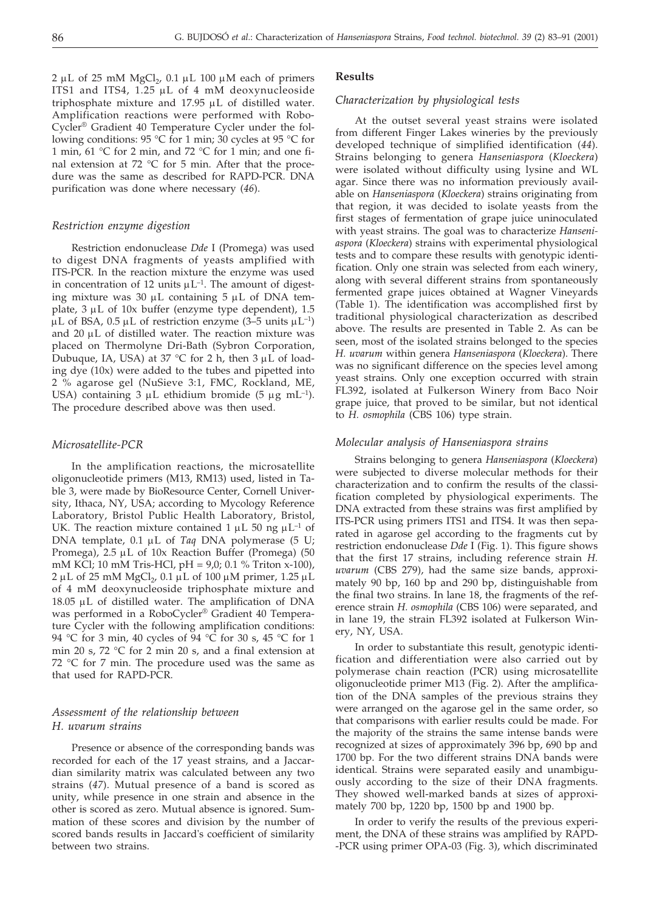$2 \mu L$  of 25 mM MgCl<sub>2</sub>, 0.1  $\mu L$  100  $\mu$ M each of primers ITS1 and ITS4,  $1.25 \mu L$  of 4 mM deoxynucleoside triphosphate mixture and  $17.95 \mu L$  of distilled water. Amplification reactions were performed with Robo-Cycler® Gradient 40 Temperature Cycler under the following conditions: 95 °C for 1 min; 30 cycles at 95 °C for 1 min, 61 °C for 2 min, and 72 °C for 1 min; and one final extension at 72  $\degree$ C for 5 min. After that the procedure was the same as described for RAPD-PCR. DNA purification was done where necessary (*46*).

## *Restriction enzyme digestion*

Restriction endonuclease *Dde* I (Promega) was used to digest DNA fragments of yeasts amplified with ITS-PCR. In the reaction mixture the enzyme was used in concentration of 12 units  $\mu L^{-1}$ . The amount of digesting mixture was 30  $\mu$ L containing 5  $\mu$ L of DNA template,  $3 \mu L$  of  $10x$  buffer (enzyme type dependent),  $1.5$  $\mu$ L of BSA, 0.5  $\mu$ L of restriction enzyme (3–5 units  $\mu$ L<sup>-1</sup>) and  $20 \mu L$  of distilled water. The reaction mixture was placed on Thermolyne Dri-Bath (Sybron Corporation, Dubuque, IA, USA) at 37 °C for 2 h, then 3  $\mu$ L of loading dye (10x) were added to the tubes and pipetted into 2 % agarose gel (NuSieve 3:1, FMC, Rockland, ME, USA) containing 3  $\mu$ L ethidium bromide (5  $\mu$ g mL<sup>-1</sup>). The procedure described above was then used.

## *Microsatellite-PCR*

In the amplification reactions, the microsatellite oligonucleotide primers (M13, RM13) used, listed in Table 3, were made by BioResource Center, Cornell University, Ithaca, NY, USA; according to Mycology Reference Laboratory, Bristol Public Health Laboratory, Bristol, UK. The reaction mixture contained 1  $\mu$ L 50 ng  $\mu$ L<sup>-1</sup> of DNA template, 0.1 μL of *Taq* DNA polymerase (5 U; Promega),  $2.5 \mu L$  of  $10x$  Reaction Buffer (Promega) (50 mM KCl; 10 mM Tris-HCl, pH = 9,0; 0.1 % Triton x-100),  $2 \mu L$  of 25 mM MgCl<sub>2</sub>, 0.1  $\mu L$  of 100  $\mu$ M primer, 1.25  $\mu L$ of 4 mM deoxynucleoside triphosphate mixture and  $18.05$   $\mu$ L of distilled water. The amplification of DNA was performed in a RoboCycler® Gradient 40 Temperature Cycler with the following amplification conditions: 94 °C for 3 min, 40 cycles of 94 °C for 30 s, 45 °C for 1 min 20 s, 72 °C for 2 min 20 s, and a final extension at 72 °C for 7 min. The procedure used was the same as that used for RAPD-PCR.

## *Assessment of the relationship between H. uvarum strains*

Presence or absence of the corresponding bands was recorded for each of the 17 yeast strains, and a Jaccardian similarity matrix was calculated between any two strains (*47*). Mutual presence of a band is scored as unity, while presence in one strain and absence in the other is scored as zero. Mutual absence is ignored. Summation of these scores and division by the number of scored bands results in Jaccard's coefficient of similarity between two strains.

#### **Results**

#### *Characterization by physiological tests*

At the outset several yeast strains were isolated from different Finger Lakes wineries by the previously developed technique of simplified identification (*44*). Strains belonging to genera *Hanseniaspora* (*Kloeckera*) were isolated without difficulty using lysine and WL agar. Since there was no information previously available on *Hanseniaspora* (*Kloeckera*) strains originating from that region, it was decided to isolate yeasts from the first stages of fermentation of grape juice uninoculated with yeast strains. The goal was to characterize *Hanseniaspora* (*Kloeckera*) strains with experimental physiological tests and to compare these results with genotypic identification. Only one strain was selected from each winery, along with several different strains from spontaneously fermented grape juices obtained at Wagner Vineyards (Table 1). The identification was accomplished first by traditional physiological characterization as described above. The results are presented in Table 2. As can be seen, most of the isolated strains belonged to the species *H. uvarum* within genera *Hanseniaspora* (*Kloeckera*). There was no significant difference on the species level among yeast strains. Only one exception occurred with strain FL392, isolated at Fulkerson Winery from Baco Noir grape juice, that proved to be similar, but not identical to *H. osmophila* (CBS 106) type strain.

#### *Molecular analysis of Hanseniaspora strains*

Strains belonging to genera *Hanseniaspora* (*Kloeckera*) were subjected to diverse molecular methods for their characterization and to confirm the results of the classification completed by physiological experiments. The DNA extracted from these strains was first amplified by ITS-PCR using primers ITS1 and ITS4. It was then separated in agarose gel according to the fragments cut by restriction endonuclease *Dde* I (Fig. 1). This figure shows that the first 17 strains, including reference strain *H. uvarum* (CBS 279), had the same size bands, approximately 90 bp, 160 bp and 290 bp, distinguishable from the final two strains. In lane 18, the fragments of the reference strain *H. osmophila* (CBS 106) were separated, and in lane 19, the strain FL392 isolated at Fulkerson Winery, NY, USA.

In order to substantiate this result, genotypic identification and differentiation were also carried out by polymerase chain reaction (PCR) using microsatellite oligonucleotide primer M13 (Fig. 2). After the amplification of the DNA samples of the previous strains they were arranged on the agarose gel in the same order, so that comparisons with earlier results could be made. For the majority of the strains the same intense bands were recognized at sizes of approximately 396 bp, 690 bp and 1700 bp. For the two different strains DNA bands were identical. Strains were separated easily and unambiguously according to the size of their DNA fragments. They showed well-marked bands at sizes of approximately 700 bp, 1220 bp, 1500 bp and 1900 bp.

In order to verify the results of the previous experiment, the DNA of these strains was amplified by RAPD- -PCR using primer OPA-03 (Fig. 3), which discriminated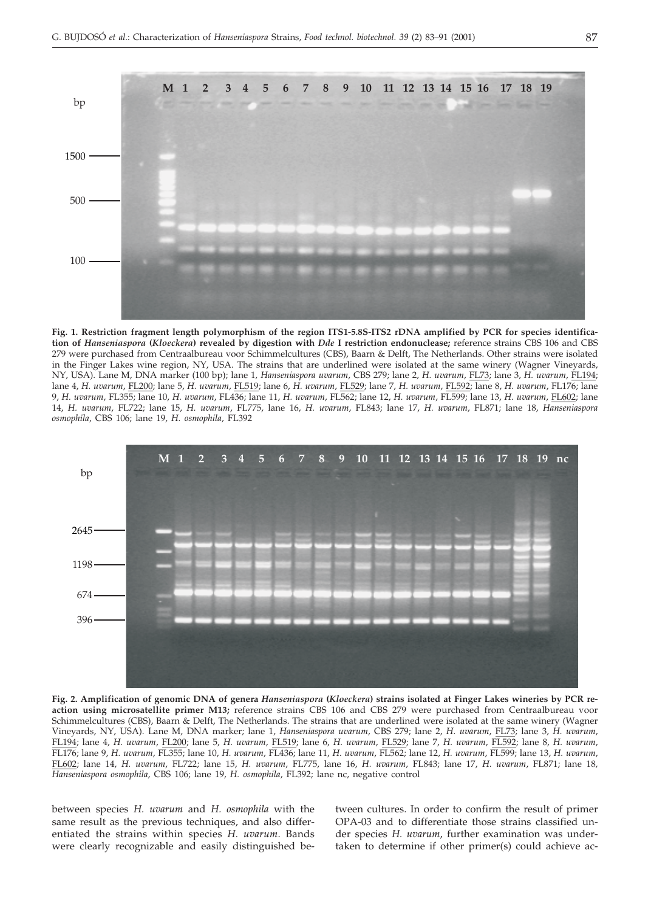

**Fig. 1. Restriction fragment length polymorphism of the region ITS1-5.8S-ITS2 rDNA amplified by PCR for species identification of** *Hanseniaspora* **(***Kloeckera***) revealed by digestion with** *Dde* **I restriction endonuclease;** reference strains CBS 106 and CBS 279 were purchased from Centraalbureau voor Schimmelcultures (CBS), Baarn & Delft, The Netherlands. Other strains were isolated in the Finger Lakes wine region, NY, USA. The strains that are underlined were isolated at the same winery (Wagner Vineyards, NY, USA). Lane M, DNA marker (100 bp); lane 1*, Hanseniaspora uvarum*, CBS 279; lane 2, *H. uvarum*, FL73; lane 3, *H. uvarum*, FL194; lane 4, *H. uvarum*, FL200; lane 5, *H. uvarum*, FL519; lane 6, *H. uvarum*, FL529; lane 7, *H. uvarum*, FL592; lane 8, *H. uvarum*, FL176; lane 9, *H. uvarum*, FL355; lane 10, *H. uvarum*, FL436; lane 11, *H. uvarum*, FL562; lane 12, *H. uvarum*, FL599; lane 13, *H. uvarum*, FL602; lane 14, *H. uvarum*, FL722; lane 15, *H. uvarum*, FL775, lane 16, *H. uvarum*, FL843; lane 17, *H. uvarum*, FL871; lane 18, *Hanseniaspora osmophila*, CBS 106; lane 19, *H. osmophila*, FL392



**Fig. 2. Amplification of genomic DNA of genera** *Hanseniaspora* **(***Kloeckera***) strains isolated at Finger Lakes wineries by PCR reaction using microsatellite primer M13;** reference strains CBS 106 and CBS 279 were purchased from Centraalbureau voor Schimmelcultures (CBS), Baarn & Delft, The Netherlands. The strains that are underlined were isolated at the same winery (Wagner Vineyards, NY, USA). Lane M, DNA marker; lane 1, *Hanseniaspora uvarum*, CBS 279; lane 2, *H. uvarum*, FL73; lane 3, *H. uvarum*, FL194; lane 4, *H. uvarum*, FL200; lane 5, *H. uvarum*, FL519; lane 6, *H. uvarum*, FL529; lane 7, *H. uvarum*, FL592; lane 8, *H. uvarum*, FL176; lane 9, *H. uvarum*, FL355; lane 10, *H. uvarum*, FL436; lane 11, *H. uvarum*, FL562; lane 12, *H. uvarum*, FL599; lane 13, *H. uvarum*, FL602; lane 14, *H. uvarum*, FL722; lane 15, *H. uvarum*, FL775, lane 16, *H. uvarum*, FL843; lane 17, *H. uvarum*, FL871; lane 18*, Hanseniaspora osmophila*, CBS 106; lane 19, *H. osmophila*, FL392; lane nc, negative control

between species *H. uvarum* and *H. osmophila* with the same result as the previous techniques, and also differentiated the strains within species *H. uvarum*. Bands were clearly recognizable and easily distinguished between cultures. In order to confirm the result of primer OPA-03 and to differentiate those strains classified under species *H. uvarum*, further examination was undertaken to determine if other primer(s) could achieve ac-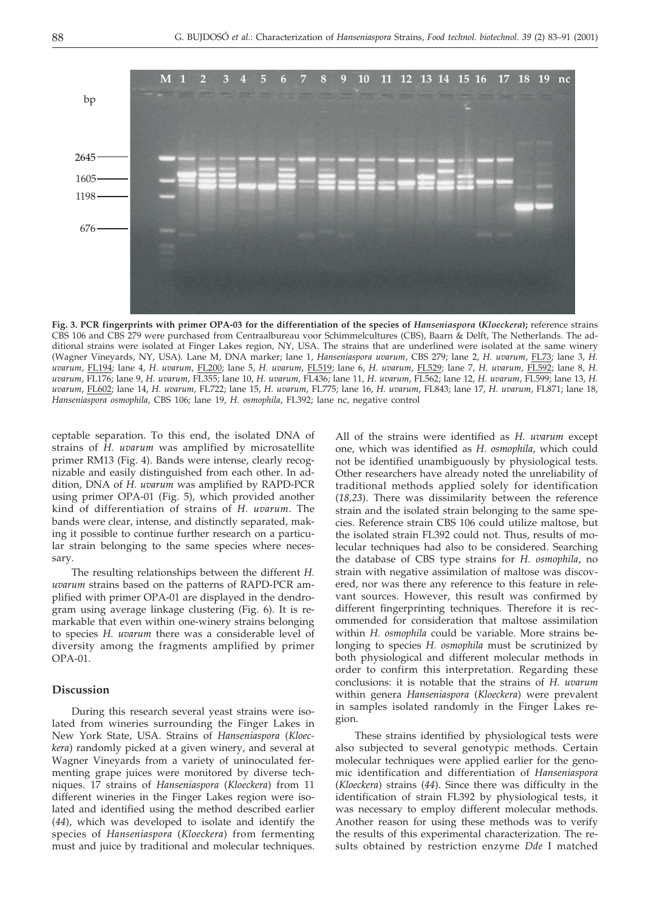**Fig. 3. PCR fingerprints with primer OPA-03 for the differentiation of the species of** *Hanseniaspora* **(***Kloeckera***);** reference strains CBS 106 and CBS 279 were purchased from Centraalbureau voor Schimmelcultures (CBS), Baarn & Delft, The Netherlands. The additional strains were isolated at Finger Lakes region, NY, USA. The strains that are underlined were isolated at the same winery (Wagner Vineyards, NY, USA). Lane M, DNA marker; lane 1, *Hanseniaspora uvarum*, CBS 279; lane 2, *H. uvarum*, FL73; lane 3, *H. uvarum*, FL194; lane 4, *H. uvarum*, FL200; lane 5, *H. uvarum*, FL519; lane 6, *H. uvarum*, FL529; lane 7, *H. uvarum*, FL592; lane 8, *H. uvarum*, FL176; lane 9, *H. uvarum*, FL355; lane 10, *H. uvarum*, FL436; lane 11, *H. uvarum*, FL562; lane 12, *H. uvarum*, FL599; lane 13, *H. uvarum*, FL602; lane 14, *H. uvarum*, FL722; lane 15, *H. uvarum*, FL775; lane 16, *H. uvarum*, FL843; lane 17, *H. uvarum*, FL871; lane 18, *Hanseniaspora osmophila*, CBS 106; lane 19, *H. osmophila*, FL392; lane nc, negative control

ceptable separation. To this end, the isolated DNA of strains of *H. uvarum* was amplified by microsatellite primer RM13 (Fig. 4). Bands were intense, clearly recognizable and easily distinguished from each other. In addition, DNA of *H. uvarum* was amplified by RAPD-PCR using primer OPA-01 (Fig. 5), which provided another kind of differentiation of strains of *H. uvarum*. The bands were clear, intense, and distinctly separated, making it possible to continue further research on a particular strain belonging to the same species where necessary.

The resulting relationships between the different *H. uvarum* strains based on the patterns of RAPD-PCR amplified with primer OPA-01 are displayed in the dendrogram using average linkage clustering (Fig. 6). It is remarkable that even within one-winery strains belonging to species *H. uvarum* there was a considerable level of diversity among the fragments amplified by primer OPA-01.

### **Discussion**

During this research several yeast strains were isolated from wineries surrounding the Finger Lakes in New York State, USA. Strains of *Hanseniaspora* (*Kloeckera*) randomly picked at a given winery, and several at Wagner Vineyards from a variety of uninoculated fermenting grape juices were monitored by diverse techniques. 17 strains of *Hanseniaspora* (*Kloeckera*) from 11 different wineries in the Finger Lakes region were isolated and identified using the method described earlier (*44*), which was developed to isolate and identify the species of *Hanseniaspora* (*Kloeckera*) from fermenting must and juice by traditional and molecular techniques.

All of the strains were identified as *H. uvarum* except one, which was identified as *H. osmophila*, which could not be identified unambiguously by physiological tests. Other researchers have already noted the unreliability of traditional methods applied solely for identification (*18,23*). There was dissimilarity between the reference strain and the isolated strain belonging to the same species. Reference strain CBS 106 could utilize maltose, but the isolated strain FL392 could not. Thus, results of molecular techniques had also to be considered. Searching the database of CBS type strains for *H. osmophila*, no strain with negative assimilation of maltose was discovered, nor was there any reference to this feature in relevant sources. However, this result was confirmed by different fingerprinting techniques. Therefore it is recommended for consideration that maltose assimilation within *H. osmophila* could be variable. More strains belonging to species *H. osmophila* must be scrutinized by both physiological and different molecular methods in order to confirm this interpretation. Regarding these conclusions: it is notable that the strains of *H. uvarum* within genera *Hanseniaspora* (*Kloeckera*) were prevalent in samples isolated randomly in the Finger Lakes region.

These strains identified by physiological tests were also subjected to several genotypic methods. Certain molecular techniques were applied earlier for the genomic identification and differentiation of *Hanseniaspora* (*Kloeckera*) strains (*44*). Since there was difficulty in the identification of strain FL392 by physiological tests, it was necessary to employ different molecular methods. Another reason for using these methods was to verify the results of this experimental characterization. The results obtained by restriction enzyme *Dde* I matched

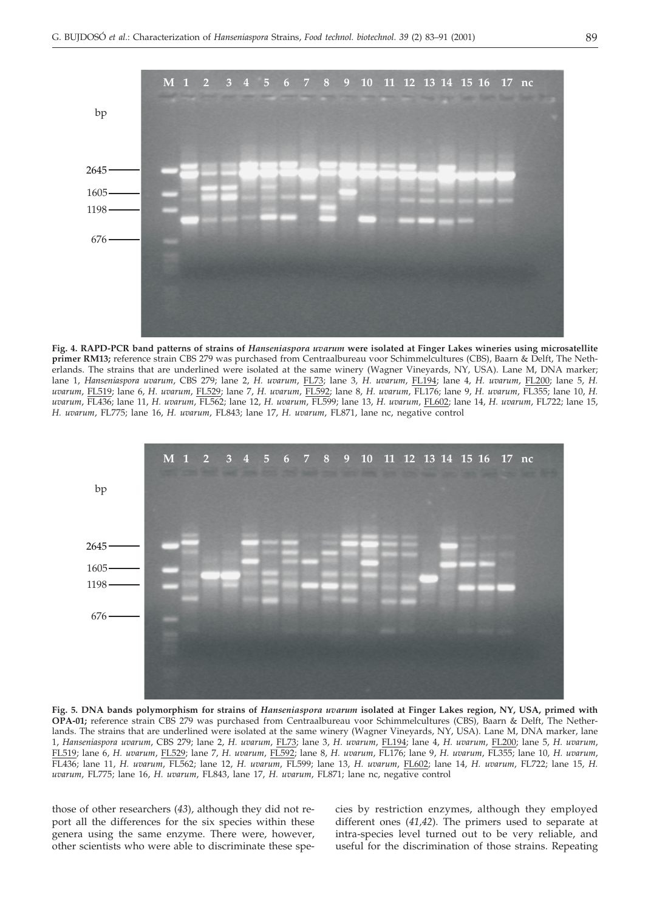

**Fig. 4. RAPD-PCR band patterns of strains of** *Hanseniaspora uvarum* **were isolated at Finger Lakes wineries using microsatellite primer RM13;** reference strain CBS 279 was purchased from Centraalbureau voor Schimmelcultures (CBS), Baarn & Delft, The Netherlands. The strains that are underlined were isolated at the same winery (Wagner Vineyards, NY, USA). Lane M, DNA marker; lane 1, *Hanseniaspora uvarum*, CBS 279; lane 2, *H. uvarum*, FL73; lane 3*, H. uvarum*, FL194; lane 4, *H. uvarum*, FL200; lane 5, *H. uvarum*, FL519; lane 6, *H. uvarum*, FL529; lane 7, *H. uvarum*, FL592; lane 8, *H. uvarum*, FL176; lane 9, *H. uvarum*, FL355; lane 10, *H. uvarum*, FL436; lane 11, *H. uvarum*, FL562; lane 12, *H. uvarum*, FL599; lane 13, *H. uvarum*, FL602; lane 14, *H. uvarum*, FL722; lane 15, *H. uvarum*, FL775; lane 16, *H. uvarum*, FL843; lane 17, *H. uvarum*, FL871, lane nc, negative control



**Fig. 5. DNA bands polymorphism for strains of** *Hanseniaspora uvarum* **isolated at Finger Lakes region, NY, USA, primed with OPA-01;** reference strain CBS 279 was purchased from Centraalbureau voor Schimmelcultures (CBS), Baarn & Delft, The Netherlands. The strains that are underlined were isolated at the same winery (Wagner Vineyards, NY, USA). Lane M, DNA marker, lane 1, *Hanseniaspora uvarum*, CBS 279; lane 2, *H. uvarum*, FL73; lane 3, *H. uvarum*, FL194; lane 4, *H. uvarum*, FL200; lane 5, *H. uvarum*, FL519; lane 6, *H. uvarum*, FL529; lane 7, *H. uvarum*, FL592; lane 8, *H. uvarum*, FL176; lane 9, *H. uvarum*, FL355; lane 10*, H. uvarum*, FL436; lane 11, *H. uvarum*, FL562; lane 12, *H. uvarum*, FL599; lane 13, *H. uvarum*, FL602; lane 14, *H. uvarum*, FL722; lane 15, *H. uvarum*, FL775; lane 16, *H. uvarum*, FL843, lane 17, *H. uvarum*, FL871; lane nc, negative control

those of other researchers (*43*), although they did not report all the differences for the six species within these genera using the same enzyme. There were, however, other scientists who were able to discriminate these species by restriction enzymes, although they employed different ones (*41,42*). The primers used to separate at intra-species level turned out to be very reliable, and useful for the discrimination of those strains. Repeating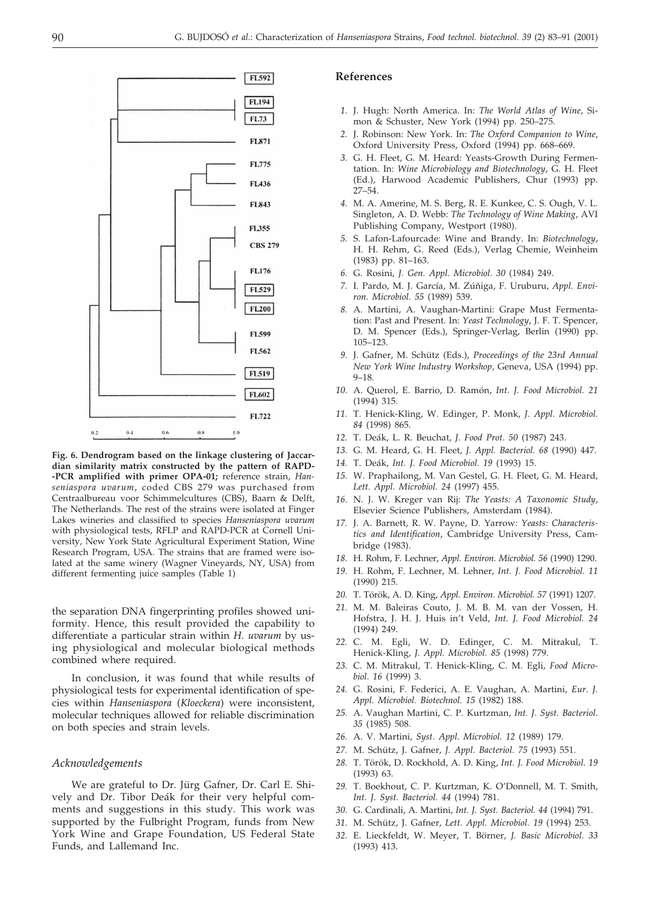

**Fig. 6. Dendrogram based on the linkage clustering of Jaccardian similarity matrix constructed by the pattern of RAPD- -PCR amplified with primer OPA-01;** reference strain, *Hanseniaspora uvarum*, coded CBS 279 was purchased from Centraalbureau voor Schimmelcultures (CBS), Baarn & Delft, The Netherlands. The rest of the strains were isolated at Finger Lakes wineries and classified to species *Hanseniaspora uvarum* with physiological tests, RFLP and RAPD-PCR at Cornell University, New York State Agricultural Experiment Station, Wine Research Program, USA. The strains that are framed were isolated at the same winery (Wagner Vineyards, NY, USA) from different fermenting juice samples (Table 1)

the separation DNA fingerprinting profiles showed uniformity. Hence, this result provided the capability to differentiate a particular strain within *H. uvarum* by using physiological and molecular biological methods combined where required.

In conclusion, it was found that while results of physiological tests for experimental identification of species within *Hanseniaspora* (*Kloeckera*) were inconsistent, molecular techniques allowed for reliable discrimination on both species and strain levels.

#### *Acknowledgements*

We are grateful to Dr. Jürg Gafner, Dr. Carl E. Shively and Dr. Tibor Deák for their very helpful comments and suggestions in this study. This work was supported by the Fulbright Program, funds from New York Wine and Grape Foundation, US Federal State Funds, and Lallemand Inc.

#### **References**

- *1.* J. Hugh: North America. In: *The World Atlas of Wine*, Simon & Schuster, New York (1994) pp. 250–275.
- *2.* J. Robinson: New York. In: *The Oxford Companion to Wine*, Oxford University Press, Oxford (1994) pp. 668–669.
- *3.* G. H. Fleet, G. M. Heard: Yeasts-Growth During Fermentation. In: *Wine Microbiology and Biotechnology*, G. H. Fleet (Ed.), Harwood Academic Publishers, Chur (1993) pp. 27–54.
- *4.* M. A. Amerine, M. S. Berg, R. E. Kunkee, C. S. Ough, V. L. Singleton, A. D. Webb: *The Technology of Wine Making*, AVI Publishing Company, Westport (1980).
- *5.* S. Lafon-Lafourcade: Wine and Brandy. In: *Biotechnology*, H. H. Rehm, G. Reed (Eds.), Verlag Chemie, Weinheim (1983) pp. 81–163.
- *6.* G. Rosini, *J. Gen. Appl. Microbiol. 30* (1984) 249.
- *7.* I. Pardo, M. J. García, M. Zúñiga, F. Uruburu, *Appl. Environ. Microbiol. 55* (1989) 539.
- *8.* A. Martini, A. Vaughan-Martini: Grape Must Fermentation: Past and Present. In: *Yeast Technology*, J. F. T. Spencer, D. M. Spencer (Eds.), Springer-Verlag, Berlin (1990) pp. 105–123.
- *9.* J. Gafner, M. Schütz (Eds.), *Proceedings of the 23rd Annual New York Wine Industry Workshop*, Geneva, USA (1994) pp. 9–18.
- *10.* A. Querol, E. Barrio, D. Ramón, *Int. J. Food Microbiol. 21* (1994) 315.
- *11.* T. Henick-Kling, W. Edinger, P. Monk, *J. Appl. Microbiol. 84* (1998) 865.
- *12.* T. Deák, L. R. Beuchat, *J. Food Prot. 50* (1987) 243.
- *13.* G. M. Heard, G. H. Fleet, *J. Appl. Bacteriol. 68* (1990) 447.
- *14.* T. Deák, *Int. J. Food Microbiol. 19* (1993) 15.
- *15.* W. Praphailong, M. Van Gestel, G. H. Fleet, G. M. Heard, *Lett. Appl. Microbiol. 24* (1997) 455.
- *16.* N. J. W. Kreger van Rij: *The Yeasts: A Taxonomic Study*, Elsevier Science Publishers, Amsterdam (1984).
- *17.* J. A. Barnett, R. W. Payne, D. Yarrow: *Yeasts: Characteristics and Identification*, Cambridge University Press, Cambridge (1983).
- *18.* H. Rohm, F. Lechner, *Appl. Environ. Microbiol. 56* (1990) 1290.
- *19.* H. Rohm, F. Lechner, M. Lehner, *Int. J. Food Microbiol. 11* (1990) 215.
- *20.* T. Török, A. D. King, *Appl. Environ. Microbiol. 57* (1991) 1207.
- *21.* M. M. Baleiras Couto, J. M. B. M. van der Vossen, H. Hofstra, J. H. J. Huis in't Veld, *Int. J. Food Microbiol. 24* (1994) 249.
- *22.* C. M. Egli, W. D. Edinger, C. M. Mitrakul, T. Henick-Kling, *J. Appl. Microbiol. 85* (1998) 779.
- *23.* C. M. Mitrakul, T. Henick-Kling, C. M. Egli, *Food Microbiol. 16* (1999) 3.
- *24.* G. Rosini, F. Federici, A. E. Vaughan, A. Martini, *Eur. J. Appl. Microbiol. Biotechnol. 15* (1982) 188.
- *25.* A. Vaughan Martini, C. P. Kurtzman, *Int. J. Syst. Bacteriol. 35* (1985) 508.
- *26.* A. V. Martini, *Syst. Appl. Microbiol. 12* (1989) 179.
- *27.* M. Schütz, J. Gafner, *J. Appl. Bacteriol. 75* (1993) 551.
- *28.* T. Török, D. Rockhold, A. D. King, *Int. J. Food Microbiol. 19* (1993) 63.
- *29.* T. Boekhout, C. P. Kurtzman, K. O'Donnell, M. T. Smith, *Int. J. Syst. Bacteriol. 44* (1994) 781.
- *30.* G. Cardinali, A. Martini, *Int. J. Syst. Bacteriol. 44* (1994) 791.
- *31.* M. Schütz, J. Gafner, *Lett. Appl. Microbiol. 19* (1994) 253.
- *32.* E. Lieckfeldt, W. Meyer, T. Börner, *J. Basic Microbiol. 33* (1993) 413.